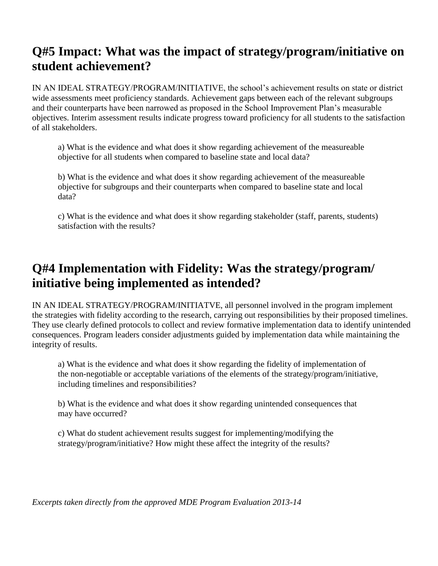# **Q#5 Impact: What was the impact of strategy/program/initiative on student achievement?**

IN AN IDEAL STRATEGY/PROGRAM/INITIATIVE, the school's achievement results on state or district wide assessments meet proficiency standards. Achievement gaps between each of the relevant subgroups and their counterparts have been narrowed as proposed in the School Improvement Plan's measurable objectives. Interim assessment results indicate progress toward proficiency for all students to the satisfaction of all stakeholders.

a) What is the evidence and what does it show regarding achievement of the measureable objective for all students when compared to baseline state and local data?

b) What is the evidence and what does it show regarding achievement of the measureable objective for subgroups and their counterparts when compared to baseline state and local data?

c) What is the evidence and what does it show regarding stakeholder (staff, parents, students) satisfaction with the results?

# **Q#4 Implementation with Fidelity: Was the strategy/program/ initiative being implemented as intended?**

IN AN IDEAL STRATEGY/PROGRAM/INITIATVE, all personnel involved in the program implement the strategies with fidelity according to the research, carrying out responsibilities by their proposed timelines. They use clearly defined protocols to collect and review formative implementation data to identify unintended consequences. Program leaders consider adjustments guided by implementation data while maintaining the integrity of results.

a) What is the evidence and what does it show regarding the fidelity of implementation of the non-negotiable or acceptable variations of the elements of the strategy/program/initiative, including timelines and responsibilities?

b) What is the evidence and what does it show regarding unintended consequences that may have occurred?

c) What do student achievement results suggest for implementing/modifying the strategy/program/initiative? How might these affect the integrity of the results?